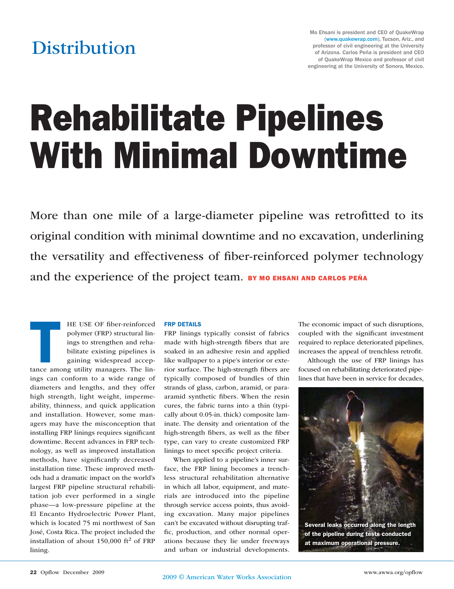## **Distribution**

# Rehabilitate Pipelines With Minimal Downtime

More than one mile of a large-diameter pipeline was retrofitted to its original condition with minimal downtime and no excavation, underlining the versatility and effectiveness of fiber-reinforced polymer technology and the experience of the project team. BY MO EHSANI AND CARLOS PEÑA

HE USE OF fiber-reinforced<br>
polymer (FRP) structural lin-<br>
ings to strengthen and reha-<br>
bilitate existing pipelines is<br>
gaining widespread accep-<br>
tance among utility managers. The linpolymer (FRP) structural linings to strengthen and rehabilitate existing pipelines is gaining widespread accepings can conform to a wide range of diameters and lengths, and they offer high strength, light weight, impermeability, thinness, and quick application and installation. However, some managers may have the misconception that installing FRP linings requires significant downtime. Recent advances in FRP technology, as well as improved installation methods, have significantly decreased installation time. These improved methods had a dramatic impact on the world's largest FRP pipeline structural rehabilitation job ever performed in a single phase—a low-pressure pipeline at the El Encanto Hydroelectric Power Plant, which is located 75 mi northwest of San José, Costa Rica. The project included the installation of about  $150,000$  ft<sup>2</sup> of FRP lining.

#### FRP DETAILS

FRP linings typically consist of fabrics made with high-strength fibers that are soaked in an adhesive resin and applied like wallpaper to a pipe's interior or exterior surface. The high-strength fibers are typically composed of bundles of thin strands of glass, carbon, aramid, or paraaramid synthetic fibers. When the resin cures, the fabric turns into a thin (typically about 0.05-in. thick) composite laminate. The density and orientation of the high-strength fibers, as well as the fiber type, can vary to create customized FRP linings to meet specific project criteria.

When applied to a pipeline's inner surface, the FRP lining becomes a trenchless structural rehabilitation alternative in which all labor, equipment, and materials are introduced into the pipeline through service access points, thus avoiding excavation. Many major pipelines can't be excavated without disrupting traffic, production, and other normal operations because they lie under freeways and urban or industrial developments.

The economic impact of such disruptions, coupled with the significant investment required to replace deteriorated pipelines, increases the appeal of trenchless retrofit.

Although the use of FRP linings has focused on rehabilitating deteriorated pipelines that have been in service for decades,



Several leaks occurred along the length of the pipeline during tests conducted at maximum operational pressure.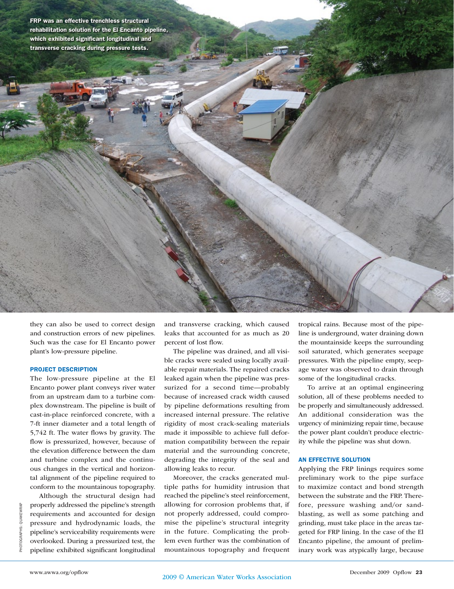FRP was an effective trenchless structural rehabilitation solution for the El Encanto pipeline, which exhibited significant longitudinal and transverse cracking during pressure tests.

they can also be used to correct design and construction errors of new pipelines. Such was the case for El Encanto power plant's low-pressure pipeline.

#### PROJECT DESCRIPTION

The low-pressure pipeline at the El Encanto power plant conveys river water from an upstream dam to a turbine complex downstream. The pipeline is built of cast-in-place reinforced concrete, with a 7-ft inner diameter and a total length of 5,742 ft. The water flows by gravity. The flow is pressurized, however, because of the elevation difference between the dam and turbine complex and the continuous changes in the vertical and horizontal alignment of the pipeline required to conform to the mountainous topography.

Although the structural design had properly addressed the pipeline's strength requirements and accounted for design pressure and hydrodynamic loads, the pipeline's serviceability requirements were overlooked. During a pressurized test, the pipeline exhibited significant longitudinal and transverse cracking, which caused leaks that accounted for as much as 20 percent of lost flow.

The pipeline was drained, and all visible cracks were sealed using locally available repair materials. The repaired cracks leaked again when the pipeline was pressurized for a second time—probably because of increased crack width caused by pipeline deformations resulting from increased internal pressure. The relative rigidity of most crack-sealing materials made it impossible to achieve full deformation compatibility between the repair material and the surrounding concrete, degrading the integrity of the seal and allowing leaks to recur.

Moreover, the cracks generated multiple paths for humidity intrusion that reached the pipeline's steel reinforcement, allowing for corrosion problems that, if not properly addressed, could compromise the pipeline's structural integrity in the future. Complicating the problem even further was the combination of mountainous topography and frequent

tropical rains. Because most of the pipeline is underground, water draining down the mountainside keeps the surrounding soil saturated, which generates seepage pressures. With the pipeline empty, seepage water was observed to drain through some of the longitudinal cracks.

To arrive at an optimal engineering solution, all of these problems needed to be properly and simultaneously addressed. An additional consideration was the urgency of minimizing repair time, because the power plant couldn't produce electricity while the pipeline was shut down.

#### AN EFFECTIVE SOLUTION

Applying the FRP linings requires some preliminary work to the pipe surface to maximize contact and bond strength between the substrate and the FRP. Therefore, pressure washing and/or sandblasting, as well as some patching and grinding, must take place in the areas targeted for FRP lining. In the case of the El Encanto pipeline, the amount of preliminary work was atypically large, because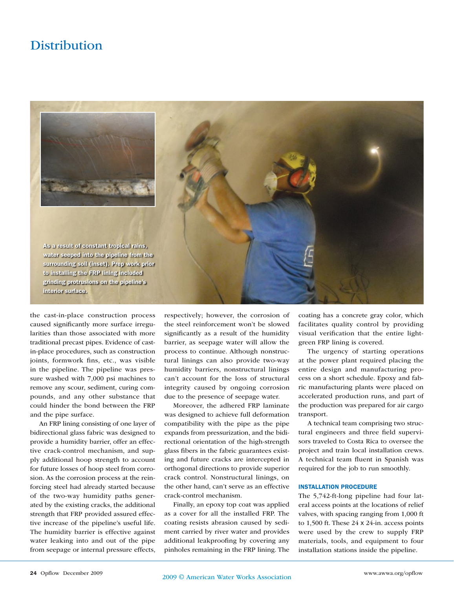### **Distribution**



the cast-in-place construction process caused significantly more surface irregularities than those associated with more traditional precast pipes. Evidence of castin-place procedures, such as construction joints, formwork fins, etc., was visible in the pipeline. The pipeline was pressure washed with 7,000 psi machines to remove any scour, sediment, curing compounds, and any other substance that could hinder the bond between the FRP and the pipe surface.

An FRP lining consisting of one layer of bidirectional glass fabric was designed to provide a humidity barrier, offer an effective crack-control mechanism, and supply additional hoop strength to account for future losses of hoop steel from corrosion. As the corrosion process at the reinforcing steel had already started because of the two-way humidity paths generated by the existing cracks, the additional strength that FRP provided assured effective increase of the pipeline's useful life. The humidity barrier is effective against water leaking into and out of the pipe from seepage or internal pressure effects, respectively; however, the corrosion of the steel reinforcement won't be slowed significantly as a result of the humidity barrier, as seepage water will allow the process to continue. Although nonstructural linings can also provide two-way humidity barriers, nonstructural linings can't account for the loss of structural integrity caused by ongoing corrosion due to the presence of seepage water.

Moreover, the adhered FRP laminate was designed to achieve full deformation compatibility with the pipe as the pipe expands from pressurization, and the bidirectional orientation of the high-strength glass fibers in the fabric guarantees existing and future cracks are intercepted in orthogonal directions to provide superior crack control. Nonstructural linings, on the other hand, can't serve as an effective crack-control mechanism.

Finally, an epoxy top coat was applied as a cover for all the installed FRP. The coating resists abrasion caused by sediment carried by river water and provides additional leakproofing by covering any pinholes remaining in the FRP lining. The

coating has a concrete gray color, which facilitates quality control by providing visual verification that the entire lightgreen FRP lining is covered.

The urgency of starting operations at the power plant required placing the entire design and manufacturing process on a short schedule. Epoxy and fabric manufacturing plants were placed on accelerated production runs, and part of the production was prepared for air cargo transport.

A technical team comprising two structural engineers and three field supervisors traveled to Costa Rica to oversee the project and train local installation crews. A technical team fluent in Spanish was required for the job to run smoothly.

#### INSTALLATION PROCEDURE

The 5,742-ft-long pipeline had four lateral access points at the locations of relief valves, with spacing ranging from 1,000 ft to 1,500 ft. These 24 x 24-in. access points were used by the crew to supply FRP materials, tools, and equipment to four installation stations inside the pipeline.